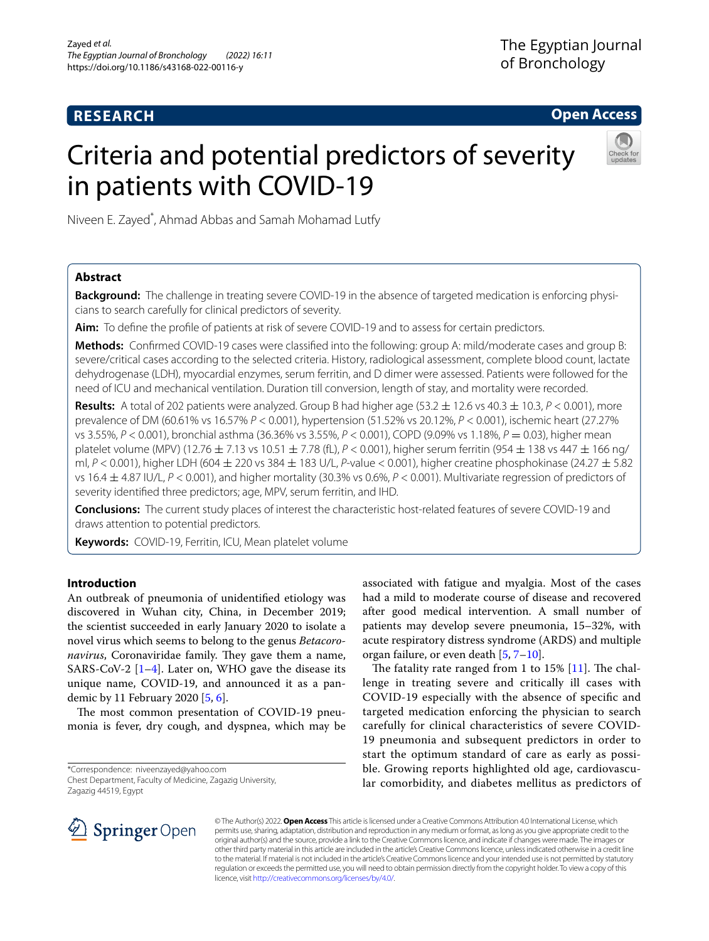# **RESEARCH**

**Open Access**

# Criteria and potential predictors of severity in patients with COVID-19



Niveen E. Zayed\* , Ahmad Abbas and Samah Mohamad Lutfy

## **Abstract**

**Background:** The challenge in treating severe COVID-19 in the absence of targeted medication is enforcing physicians to search carefully for clinical predictors of severity.

**Aim:** To defne the profle of patients at risk of severe COVID-19 and to assess for certain predictors.

**Methods:** Confrmed COVID-19 cases were classifed into the following: group A: mild/moderate cases and group B: severe/critical cases according to the selected criteria. History, radiological assessment, complete blood count, lactate dehydrogenase (LDH), myocardial enzymes, serum ferritin, and D dimer were assessed. Patients were followed for the need of ICU and mechanical ventilation. Duration till conversion, length of stay, and mortality were recorded.

**Results:** A total of 202 patients were analyzed. Group B had higher age  $(53.2 \pm 12.6 \text{ vs } 40.3 \pm 10.3, P < 0.001)$ , more prevalence of DM (60.61% vs 16.57% *P* < 0.001), hypertension (51.52% vs 20.12%, *P* < 0.001), ischemic heart (27.27% vs 3.55%, *P* < 0.001), bronchial asthma (36.36% vs 3.55%, *P* < 0.001), COPD (9.09% vs 1.18%, *P* = 0.03), higher mean platelet volume (MPV) (12.76 ± 7.13 vs 10.51 ± 7.78 (fL), *P* < 0.001), higher serum ferritin (954 ± 138 vs 447 ± 166 ng/ ml, *P* < 0.001), higher LDH (604 ± 220 vs 384 ± 183 U/L, *P*-value < 0.001), higher creatine phosphokinase (24.27 ± 5.82 vs 16.4 ± 4.87 IU/L, *P* < 0.001), and higher mortality (30.3% vs 0.6%, *P* < 0.001). Multivariate regression of predictors of severity identifed three predictors; age, MPV, serum ferritin, and IHD.

**Conclusions:** The current study places of interest the characteristic host-related features of severe COVID-19 and draws attention to potential predictors.

**Keywords:** COVID-19, Ferritin, ICU, Mean platelet volume

## **Introduction**

An outbreak of pneumonia of unidentifed etiology was discovered in Wuhan city, China, in December 2019; the scientist succeeded in early January 2020 to isolate a novel virus which seems to belong to the genus *Betacoro*navirus, Coronaviridae family. They gave them a name, SARS-CoV-2  $[1-4]$  $[1-4]$ . Later on, WHO gave the disease its unique name, COVID-19, and announced it as a pandemic by 11 February 2020 [\[5](#page-6-2), [6\]](#page-6-3).

The most common presentation of COVID-19 pneumonia is fever, dry cough, and dyspnea, which may be associated with fatigue and myalgia. Most of the cases had a mild to moderate course of disease and recovered after good medical intervention. A small number of patients may develop severe pneumonia, 15–32%, with acute respiratory distress syndrome (ARDS) and multiple organ failure, or even death [\[5,](#page-6-2) [7](#page-7-0)[–10](#page-7-1)].

The fatality rate ranged from 1 to  $15\%$  [\[11\]](#page-7-2). The challenge in treating severe and critically ill cases with COVID-19 especially with the absence of specifc and targeted medication enforcing the physician to search carefully for clinical characteristics of severe COVID-19 pneumonia and subsequent predictors in order to start the optimum standard of care as early as possible. Growing reports highlighted old age, cardiovascular comorbidity, and diabetes mellitus as predictors of



© The Author(s) 2022. **Open Access** This article is licensed under a Creative Commons Attribution 4.0 International License, which permits use, sharing, adaptation, distribution and reproduction in any medium or format, as long as you give appropriate credit to the original author(s) and the source, provide a link to the Creative Commons licence, and indicate if changes were made. The images or other third party material in this article are included in the article's Creative Commons licence, unless indicated otherwise in a credit line to the material. If material is not included in the article's Creative Commons licence and your intended use is not permitted by statutory regulation or exceeds the permitted use, you will need to obtain permission directly from the copyright holder. To view a copy of this licence, visit [http://creativecommons.org/licenses/by/4.0/.](http://creativecommons.org/licenses/by/4.0/)

<sup>\*</sup>Correspondence: niveenzayed@yahoo.com Chest Department, Faculty of Medicine, Zagazig University, Zagazig 44519, Egypt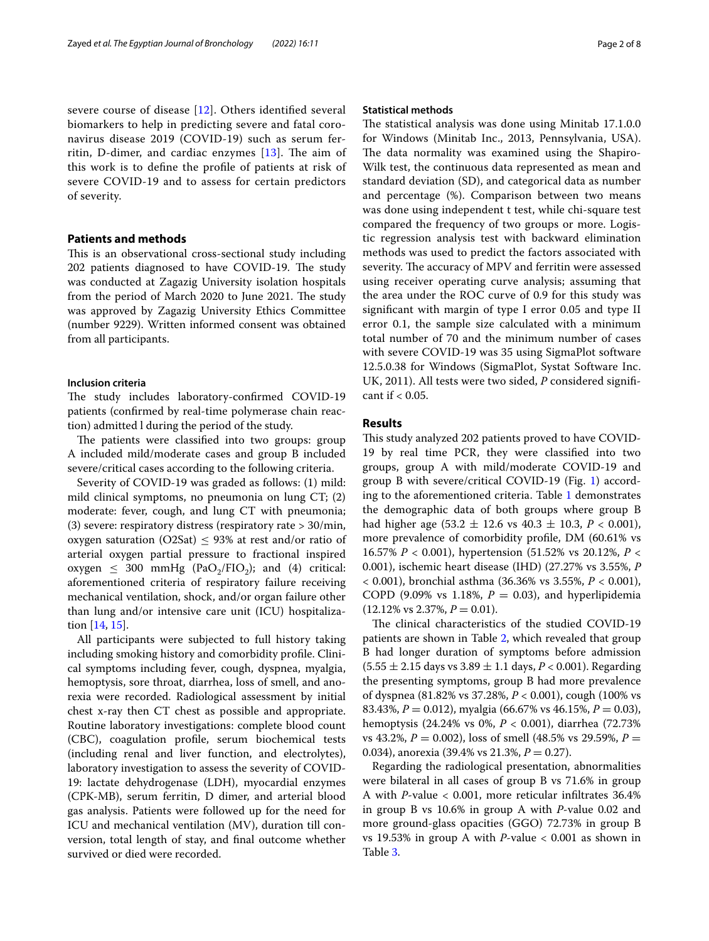severe course of disease [\[12](#page-7-3)]. Others identifed several biomarkers to help in predicting severe and fatal coronavirus disease 2019 (COVID-19) such as serum ferritin, D-dimer, and cardiac enzymes  $[13]$ . The aim of this work is to defne the profle of patients at risk of severe COVID-19 and to assess for certain predictors of severity.

## **Patients and methods**

This is an observational cross-sectional study including 202 patients diagnosed to have COVID-19. The study was conducted at Zagazig University isolation hospitals from the period of March 2020 to June 2021. The study was approved by Zagazig University Ethics Committee (number 9229). Written informed consent was obtained from all participants.

## **Inclusion criteria**

The study includes laboratory-confirmed COVID-19 patients (confrmed by real-time polymerase chain reaction) admitted l during the period of the study.

The patients were classified into two groups: group A included mild/moderate cases and group B included severe/critical cases according to the following criteria.

Severity of COVID-19 was graded as follows: (1) mild: mild clinical symptoms, no pneumonia on lung CT; (2) moderate: fever, cough, and lung CT with pneumonia; (3) severe: respiratory distress (respiratory rate > 30/min, oxygen saturation (O2Sat)  $\leq$  93% at rest and/or ratio of arterial oxygen partial pressure to fractional inspired oxygen  $\leq$  300 mmHg (PaO<sub>2</sub>/FIO<sub>2</sub>); and (4) critical: aforementioned criteria of respiratory failure receiving mechanical ventilation, shock, and/or organ failure other than lung and/or intensive care unit (ICU) hospitalization [[14,](#page-7-5) [15\]](#page-7-6).

All participants were subjected to full history taking including smoking history and comorbidity profle. Clinical symptoms including fever, cough, dyspnea, myalgia, hemoptysis, sore throat, diarrhea, loss of smell, and anorexia were recorded. Radiological assessment by initial chest x-ray then CT chest as possible and appropriate. Routine laboratory investigations: complete blood count (CBC), coagulation profle, serum biochemical tests (including renal and liver function, and electrolytes), laboratory investigation to assess the severity of COVID-19: lactate dehydrogenase (LDH), myocardial enzymes (CPK-MB), serum ferritin, D dimer, and arterial blood gas analysis. Patients were followed up for the need for ICU and mechanical ventilation (MV), duration till conversion, total length of stay, and fnal outcome whether survived or died were recorded.

#### **Statistical methods**

The statistical analysis was done using Minitab 17.1.0.0 for Windows (Minitab Inc., 2013, Pennsylvania, USA). The data normality was examined using the Shapiro-Wilk test, the continuous data represented as mean and standard deviation (SD), and categorical data as number and percentage (%). Comparison between two means was done using independent t test, while chi-square test compared the frequency of two groups or more. Logistic regression analysis test with backward elimination methods was used to predict the factors associated with severity. The accuracy of MPV and ferritin were assessed using receiver operating curve analysis; assuming that the area under the ROC curve of 0.9 for this study was signifcant with margin of type I error 0.05 and type II error 0.1, the sample size calculated with a minimum total number of 70 and the minimum number of cases with severe COVID-19 was 35 using SigmaPlot software 12.5.0.38 for Windows (SigmaPlot, Systat Software Inc. UK, 2011). All tests were two sided, *P* considered signifcant if  $< 0.05$ .

## **Results**

This study analyzed 202 patients proved to have COVID-19 by real time PCR, they were classifed into two groups, group A with mild/moderate COVID-19 and group B with severe/critical COVID-19 (Fig. [1\)](#page-2-0) according to the aforementioned criteria. Table [1](#page-2-1) demonstrates the demographic data of both groups where group B had higher age (53.2 ± 12.6 vs 40.3 ± 10.3, *P* < 0.001), more prevalence of comorbidity profle, DM (60.61% vs 16.57% *P* < 0.001), hypertension (51.52% vs 20.12%, *P* < 0.001), ischemic heart disease (IHD) (27.27% vs 3.55%, *P* < 0.001), bronchial asthma (36.36% vs 3.55%, *P* < 0.001), COPD (9.09% vs 1.18%,  $P = 0.03$ ), and hyperlipidemia  $(12.12\% \text{ vs } 2.37\%, P = 0.01).$ 

The clinical characteristics of the studied COVID-19 patients are shown in Table [2,](#page-2-2) which revealed that group B had longer duration of symptoms before admission  $(5.55 \pm 2.15$  days vs  $3.89 \pm 1.1$  days,  $P < 0.001$ ). Regarding the presenting symptoms, group B had more prevalence of dyspnea (81.82% vs 37.28%, *P* < 0.001), cough (100% vs 83.43%, *P* = 0.012), myalgia (66.67% vs 46.15%, *P* = 0.03), hemoptysis (24.24% vs 0%, *P* < 0.001), diarrhea (72.73% vs 43.2%,  $P = 0.002$ ), loss of smell (48.5% vs 29.59%,  $P =$ 0.034), anorexia (39.4% vs 21.3%,  $P = 0.27$ ).

Regarding the radiological presentation, abnormalities were bilateral in all cases of group B vs 71.6% in group A with *P*-value < 0.001, more reticular infltrates 36.4% in group B vs 10.6% in group A with *P*-value 0.02 and more ground-glass opacities (GGO) 72.73% in group B vs 19.53% in group A with *P*-value < 0.001 as shown in Table [3](#page-3-0).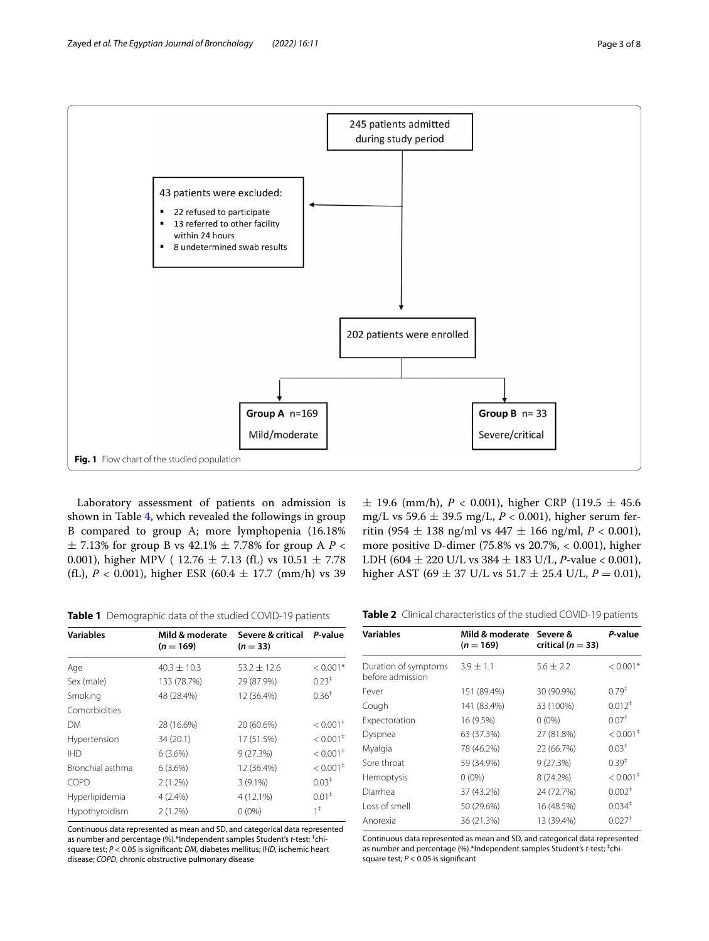

<span id="page-2-0"></span>Laboratory assessment of patients on admission is shown in Table [4](#page-3-1), which revealed the followings in group B compared to group A; more lymphopenia (16.18%  $\pm$  7.13% for group B vs 42.1%  $\pm$  7.78% for group A *P* < 0.001), higher MPV ( $12.76 \pm 7.13$  (fL) vs  $10.51 \pm 7.78$ (fL),  $P < 0.001$ ), higher ESR (60.4  $\pm$  17.7 (mm/h) vs 39

 $\pm$  19.6 (mm/h), *P* < 0.001), higher CRP (119.5  $\pm$  45.6 mg/L vs 59.6 ± 39.5 mg/L, *P* < 0.001), higher serum ferritin (954  $\pm$  138 ng/ml vs 447  $\pm$  166 ng/ml, *P* < 0.001), more positive D-dimer (75.8% vs 20.7%, < 0.001), higher LDH (604 ± 220 U/L vs 384 ± 183 U/L, *P*-value < 0.001), higher AST (69  $\pm$  37 U/L vs 51.7  $\pm$  25.4 U/L,  $P=$  0.01),

<span id="page-2-1"></span>**Table 1** Demographic data of the studied COVID-19 patients

| <b>Variables</b> | Mild & moderate<br>$(n = 169)$ | Severe & critical<br>$(n=33)$ | P-value                               |
|------------------|--------------------------------|-------------------------------|---------------------------------------|
| Age              | $40.3 \pm 10.3$                | $53.2 \pm 12.6$               | $< 0.001*$                            |
| Sex (male)       | 133 (78.7%)                    | 29 (87.9%)                    | $0.23^+$                              |
| Smoking          | 48 (28.4%)                     | 12 (36.4%)                    | $0.36^{\ddagger}$                     |
| Comorbidities    |                                |                               |                                       |
| DМ               | 28 (16.6%)                     | 20 (60.6%)                    | $< 0.001$ <sup><math>\pm</math></sup> |
| Hypertension     | 34 (20.1)                      | 17 (51.5%)                    | $< 0.001$ <sup>+</sup>                |
| <b>IHD</b>       | 6(3.6%)                        | 9(27.3%)                      | $< 0.001$ <sup>+</sup>                |
| Bronchial asthma | $6(3.6\%)$                     | 12 (36.4%)                    | $< 0.001$ <sup>+</sup>                |
| COPD             | 2(1.2%)                        | $3(9.1\%)$                    | $0.03^+$                              |
| Hyperlipidemia   | $4(2.4\%)$                     | 4 (12.1%)                     | 0.01 <sup>‡</sup>                     |
| Hypothyroidism   | $2(1.2\%)$                     | $0(0\%)$                      | $1^{\ddagger}$                        |
|                  |                                |                               |                                       |

Continuous data represented as mean and SD, and categorical data represented as number and percentage (%).\*Independent samples Student's *t*-test; <sup>‡</sup>chisquare test; *P* < 0.05 is signifcant; *DM*, diabetes mellitus; *IHD*, ischemic heart disease; *COPD*, chronic obstructive pulmonary disease

<span id="page-2-2"></span>**Table 2** Clinical characteristics of the studied COVID-19 patients

| <b>Variables</b>                         | Mild & moderate Severe &<br>$(n = 169)$ | critical ( $n = 33$ ) | P-value                |
|------------------------------------------|-----------------------------------------|-----------------------|------------------------|
| Duration of symptoms<br>before admission | $3.9 \pm 1.1$                           | $5.6 \pm 2.2$         | $< 0.001*$             |
| Fever                                    | 151 (89.4%)                             | 30 (90.9%)            | $0.79^{+}$             |
| Cough                                    | 141 (83.4%)                             | 33 (100%)             | $0.012$ <sup>+</sup>   |
| Expectoration                            | 16 (9.5%)                               | $0(0\%)$              | 0.07 <sup>‡</sup>      |
| Dyspnea                                  | 63 (37.3%)                              | 27 (81.8%)            | $< 0.001$ <sup>+</sup> |
| Myalgia                                  | 78 (46.2%)                              | 22 (66.7%)            | $0.03^+$               |
| Sore throat                              | 59 (34.9%)                              | 9(27.3%)              | $0.39^{\ddagger}$      |
| Hemoptysis                               | $0(0\%)$                                | 8 (24.2%)             | $< 0.001$ <sup>‡</sup> |
| Diarrhea                                 | 37 (43.2%)                              | 24 (72.7%)            | 0.002 <sup>‡</sup>     |
| Loss of smell                            | 50 (29.6%)                              | 16 (48.5%)            | 0.034 <sup>‡</sup>     |
| Anorexia                                 | 36 (21.3%)                              | 13 (39.4%)            | $0.027$ <sup>+</sup>   |

Continuous data represented as mean and SD, and categorical data represented as number and percentage (%).\*Independent samples Student's t-test;<sup>‡</sup>chisquare test; *P* < 0.05 is signifcant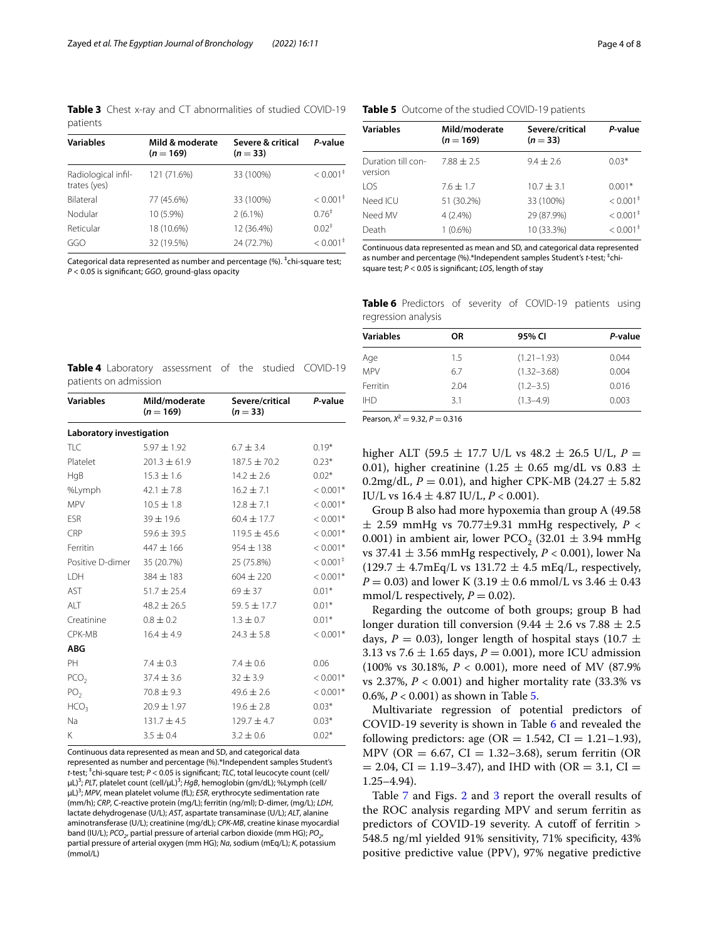<span id="page-3-0"></span>**Table 3** Chest x-ray and CT abnormalities of studied COVID-19 patients

| <b>Variables</b>                    | Mild & moderate<br>$(n = 169)$ | Severe & critical<br>$(n=33)$ | P-value                               |  |
|-------------------------------------|--------------------------------|-------------------------------|---------------------------------------|--|
| Radiological infil-<br>trates (yes) | 121 (71.6%)                    | 33 (100%)                     | $< 0.001$ <sup>#</sup>                |  |
| <b>Bilateral</b>                    | 77 (45.6%)                     | 33 (100%)                     | $< 0.001$ <sup><math>\pm</math></sup> |  |
| Nodular                             | 10 (5.9%)                      | $2(6.1\%)$                    | 0.76 <sup>‡</sup>                     |  |
| Reticular                           | 18 (10.6%)                     | 12 (36.4%)                    | $0.02^+$                              |  |
| GGO                                 | 32 (19.5%)                     | 24 (72.7%)                    | $< 0.001$ <sup>+</sup>                |  |

Categorical data represented as number and percentage (%). <sup>‡</sup>chi-square test; *P* < 0.05 is signifcant; *GGO*, ground-glass opacity

## <span id="page-3-2"></span>**Table 5** Outcome of the studied COVID-19 patients

| Variables                     | Mild/moderate<br>$(n = 169)$ | Severe/critical<br>$(n=33)$ | P-value                |
|-------------------------------|------------------------------|-----------------------------|------------------------|
| Duration till con-<br>version | $7.88 \pm 2.5$               | $9.4 + 2.6$                 | $0.03*$                |
| LOS                           | $7.6 \pm 1.7$                | $10.7 \pm 3.1$              | $0.001*$               |
| Need ICU                      | 51 (30.2%)                   | 33 (100%)                   | $< 0.001$ <sup>+</sup> |
| Need MV                       | 4(2.4%)                      | 29 (87.9%)                  | $< 0.001$ <sup>‡</sup> |
| Death                         | $1(0.6\%)$                   | 10 (33.3%)                  | $< 0.001^{\ddagger}$   |

Continuous data represented as mean and SD, and categorical data represented as number and percentage (%).\*Independent samples Student's *t*-test;<sup>+</sup>chisquare test; *P* < 0.05 is signifcant; *LOS*, length of stay

<span id="page-3-3"></span>**Table 6** Predictors of severity of COVID-19 patients using regression analysis

| <b>Variables</b> | OR   | 95% CI          | P-value |
|------------------|------|-----------------|---------|
| Age              | 1.5  | $(1.21 - 1.93)$ | 0.044   |
| <b>MPV</b>       | 6.7  | $(1.32 - 3.68)$ | 0.004   |
| Ferritin         | 2.04 | $(1.2 - 3.5)$   | 0.016   |
| <b>IHD</b>       | 31   | $(1.3 - 4.9)$   | 0.003   |

<span id="page-3-1"></span>**Table 4** Laboratory assessment of the studied COVID-19 patients on admission

| <b>Variables</b>         | Mild/moderate<br>$(n = 169)$        | Severe/critical<br>$(n=33)$ | P-value                |
|--------------------------|-------------------------------------|-----------------------------|------------------------|
| Laboratory investigation |                                     |                             |                        |
| <b>TLC</b>               | $5.97 \pm 1.92$                     | $6.7 \pm 3.4$               | $0.19*$                |
| Platelet                 | $201.3 \pm 61.9$                    | $187.5 + 70.2$              | $0.23*$                |
| HqB                      | $15.3 \pm 1.6$                      | $14.2 \pm 2.6$              | $0.02*$                |
| %Lymph                   | 42.1 $\pm$ 7.8                      | $16.2 \pm 7.1$              | $< 0.001*$             |
| <b>MPV</b>               | $10.5 \pm 1.8$                      | $12.8 \pm 7.1$              | $< 0.001*$             |
| <b>FSR</b>               | $39 \pm 19.6$                       | $60.4 \pm 17.7$             | $< 0.001*$             |
| CRP                      | $59.6 \pm 39.5$<br>$119.5 \pm 45.6$ |                             | $< 0.001*$             |
| Ferritin                 | $447 \pm 166$<br>$954 \pm 138$      |                             | $< 0.001*$             |
| Positive D-dimer         | 35 (20.7%)<br>25 (75.8%)            |                             | $< 0.001$ <sup>+</sup> |
| <b>IDH</b>               | $384 \pm 183$                       | $604 \pm 220$               | $< 0.001*$             |
| AST                      | $51.7 \pm 25.4$                     | $69 \pm 37$                 | $0.01*$                |
| AIT                      | $48.2 \pm 26.5$                     | $59.5 \pm 17.7$             | $0.01*$                |
| Creatinine               | $0.8 \pm 0.2$<br>$1.3 \pm 0.7$      |                             | $0.01*$                |
| CPK-MB                   | $16.4 \pm 4.9$                      | $24.3 \pm 5.8$              | $< 0.001*$             |
| <b>ABG</b>               |                                     |                             |                        |
| PH                       | $7.4 \pm 0.3$                       | $7.4 \pm 0.6$               | 0.06                   |
| PCO <sub>2</sub>         | $37.4 \pm 3.6$                      | $32 \pm 3.9$                | $< 0.001*$             |
| PO <sub>2</sub>          | $70.8 \pm 9.3$                      | $49.6 \pm 2.6$              | $< 0.001*$             |
| HCO <sub>3</sub>         | $20.9 \pm 1.97$                     | $19.6 \pm 2.8$              | $0.03*$                |
| Na                       | $131.7 \pm 4.5$                     | $129.7 \pm 4.7$             | $0.03*$                |
| K                        | $3.5 \pm 0.4$                       | $3.2 \pm 0.6$               | $0.02*$                |

Continuous data represented as mean and SD, and categorical data represented as number and percentage (%).\*Independent samples Student's *t*-test; ‡ chi-square test; *P* < 0.05 is signifcant; *TLC*, total leucocyte count (cell/ μL)<sup>3</sup>; *PLT*, platelet count (cell/μL)<sup>3</sup>; HgB, hemoglobin (gm/dL); %Lymph (cell/ μL)<sup>3</sup>; *MPV*, mean platelet volume (fL); *ESR*, erythrocyte sedimentation rate (mm/h); *CRP*, C-reactive protein (mg/L); ferritin (ng/ml); D-dimer, (mg/L); *LDH*, lactate dehydrogenase (U/L); *AST*, aspartate transaminase (U/L); *ALT*, alanine aminotransferase (U/L); creatinine (mg/dL); *CPK-MB*, creatine kinase myocardial band (IU/L); *PCO*<sub>2</sub>, partial pressure of arterial carbon dioxide (mm HG); *PO*<sub>2</sub> partial pressure of arterial oxygen (mm HG); *Na*, sodium (mEq/L); *K*, potassium (mmol/L)

Pearson,  $X^2 = 9.32$ ,  $P = 0.316$ 

higher ALT (59.5  $\pm$  17.7 U/L vs 48.2  $\pm$  26.5 U/L,  $P =$ 0.01), higher creatinine (1.25  $\pm$  0.65 mg/dL vs 0.83  $\pm$ 0.2mg/dL,  $P = 0.01$ ), and higher CPK-MB (24.27  $\pm$  5.82) IU/L vs 16.4 ± 4.87 IU/L, *P* < 0.001).

Group B also had more hypoxemia than group A (49.58 ± 2.59 mmHg vs 70.77±9.31 mmHg respectively, *P* < 0.001) in ambient air, lower PCO<sub>2</sub> (32.01  $\pm$  3.94 mmHg vs 37.41  $\pm$  3.56 mmHg respectively,  $P < 0.001$ ), lower Na  $(129.7 \pm 4.7 \text{mEg/L vs } 131.72 \pm 4.5 \text{ mEg/L, respectively.})$ *P* = 0.03) and lower K (3.19  $\pm$  0.6 mmol/L vs 3.46  $\pm$  0.43 mmol/L respectively,  $P = 0.02$ ).

Regarding the outcome of both groups; group B had longer duration till conversion  $(9.44 \pm 2.6 \text{ vs } 7.88 \pm 2.5)$ days,  $P = 0.03$ ), longer length of hospital stays (10.7  $\pm$ 3.13 vs 7.6  $\pm$  1.65 days, *P* = 0.001), more ICU admission (100% vs 30.18%, *P* < 0.001), more need of MV (87.9% vs 2.37%, *P* < 0.001) and higher mortality rate (33.3% vs 0.6%, *P* < 0.001) as shown in Table [5.](#page-3-2)

Multivariate regression of potential predictors of COVID-19 severity is shown in Table [6](#page-3-3) and revealed the following predictors: age ( $OR = 1.542$ ,  $CI = 1.21-1.93$ ), MPV (OR = 6.67, CI = 1.32-3.68), serum ferritin (OR  $= 2.04$ , CI = 1.19–3.47), and IHD with (OR = 3.1, CI = 1.25–4.94).

Table [7](#page-4-0) and Figs. [2](#page-4-1) and [3](#page-5-0) report the overall results of the ROC analysis regarding MPV and serum ferritin as predictors of COVID-19 severity. A cutoff of ferritin > 548.5 ng/ml yielded 91% sensitivity, 71% specifcity, 43% positive predictive value (PPV), 97% negative predictive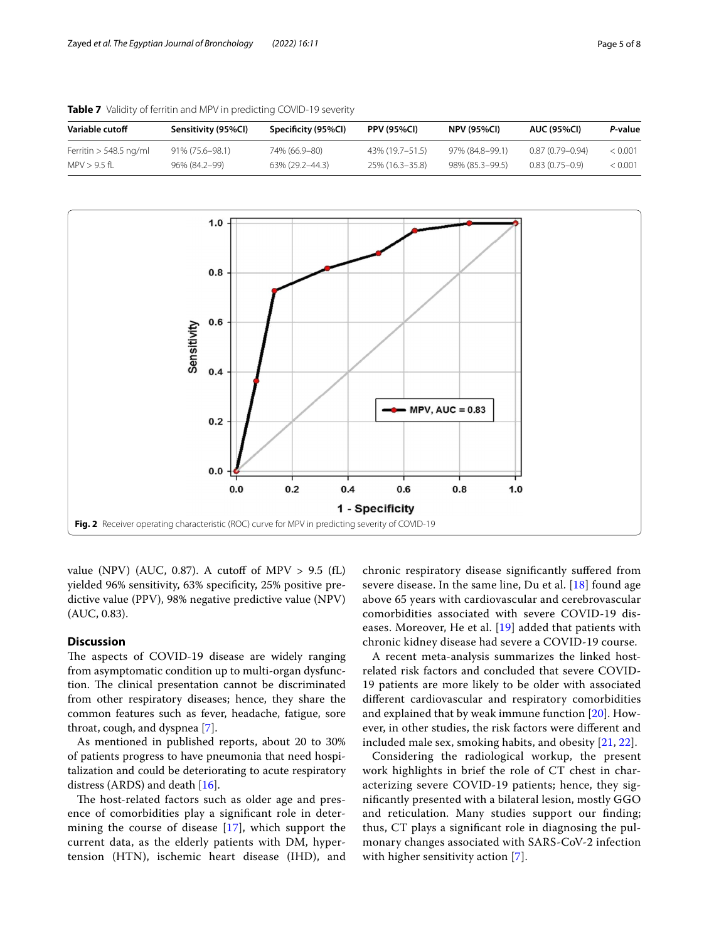| Variable cutoff          | Sensitivity (95%Cl) | Specificity (95%Cl) | <b>PPV (95%CI)</b> | <b>NPV (95%CI)</b> | <b>AUC (95%CI)</b>  | P-value |
|--------------------------|---------------------|---------------------|--------------------|--------------------|---------------------|---------|
| Ferritin $> 548.5$ ng/ml | 91% (75.6–98.1)     | 74% (66.9–80)       | 43% (19.7–51.5)    | 97% (84.8-99.1)    | $0.87(0.79 - 0.94)$ | < 0.001 |
| MPV > 9.5 fl             | 96% (84.2-99)       | 63% (29.2–44.3)     | 25% (16.3-35.8)    | 98% (85.3-99.5)    | $0.83(0.75-0.9)$    | < 0.001 |

<span id="page-4-0"></span>**Table 7** Validity of ferritin and MPV in predicting COVID-19 severity



<span id="page-4-1"></span>value (NPV) (AUC, 0.87). A cutoff of MPV  $> 9.5$  (fL) yielded 96% sensitivity, 63% specifcity, 25% positive predictive value (PPV), 98% negative predictive value (NPV) (AUC, 0.83).

## **Discussion**

The aspects of COVID-19 disease are widely ranging from asymptomatic condition up to multi-organ dysfunction. The clinical presentation cannot be discriminated from other respiratory diseases; hence, they share the common features such as fever, headache, fatigue, sore throat, cough, and dyspnea [\[7](#page-7-0)].

As mentioned in published reports, about 20 to 30% of patients progress to have pneumonia that need hospitalization and could be deteriorating to acute respiratory distress (ARDS) and death [[16\]](#page-7-7).

The host-related factors such as older age and presence of comorbidities play a signifcant role in determining the course of disease [\[17\]](#page-7-8), which support the current data, as the elderly patients with DM, hypertension (HTN), ischemic heart disease (IHD), and

chronic respiratory disease signifcantly sufered from severe disease. In the same line, Du et al.  $[18]$  $[18]$  found age above 65 years with cardiovascular and cerebrovascular comorbidities associated with severe COVID-19 diseases. Moreover, He et al. [\[19\]](#page-7-10) added that patients with chronic kidney disease had severe a COVID-19 course.

A recent meta-analysis summarizes the linked hostrelated risk factors and concluded that severe COVID-19 patients are more likely to be older with associated diferent cardiovascular and respiratory comorbidities and explained that by weak immune function [\[20](#page-7-11)]. However, in other studies, the risk factors were diferent and included male sex, smoking habits, and obesity [\[21](#page-7-12), [22](#page-7-13)].

Considering the radiological workup, the present work highlights in brief the role of CT chest in characterizing severe COVID-19 patients; hence, they signifcantly presented with a bilateral lesion, mostly GGO and reticulation. Many studies support our fnding; thus, CT plays a signifcant role in diagnosing the pulmonary changes associated with SARS-CoV-2 infection with higher sensitivity action [[7\]](#page-7-0).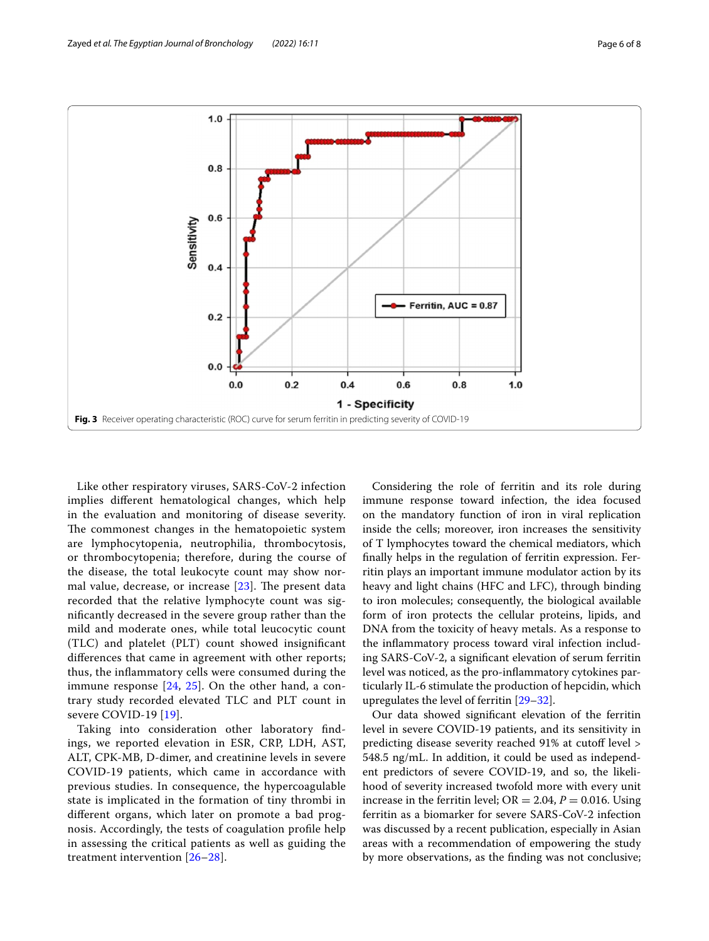

<span id="page-5-0"></span>Like other respiratory viruses, SARS-CoV-2 infection implies diferent hematological changes, which help in the evaluation and monitoring of disease severity. The commonest changes in the hematopoietic system are lymphocytopenia, neutrophilia, thrombocytosis, or thrombocytopenia; therefore, during the course of the disease, the total leukocyte count may show normal value, decrease, or increase  $[23]$  $[23]$ . The present data recorded that the relative lymphocyte count was signifcantly decreased in the severe group rather than the mild and moderate ones, while total leucocytic count (TLC) and platelet (PLT) count showed insignifcant diferences that came in agreement with other reports; thus, the infammatory cells were consumed during the immune response  $[24, 25]$  $[24, 25]$  $[24, 25]$  $[24, 25]$  $[24, 25]$ . On the other hand, a contrary study recorded elevated TLC and PLT count in severe COVID-19 [[19\]](#page-7-10).

Taking into consideration other laboratory fndings, we reported elevation in ESR, CRP, LDH, AST, ALT, CPK-MB, D-dimer, and creatinine levels in severe COVID-19 patients, which came in accordance with previous studies. In consequence, the hypercoagulable state is implicated in the formation of tiny thrombi in diferent organs, which later on promote a bad prognosis. Accordingly, the tests of coagulation profle help in assessing the critical patients as well as guiding the treatment intervention [[26–](#page-7-17)[28](#page-7-18)].

Considering the role of ferritin and its role during immune response toward infection, the idea focused on the mandatory function of iron in viral replication inside the cells; moreover, iron increases the sensitivity of T lymphocytes toward the chemical mediators, which fnally helps in the regulation of ferritin expression. Ferritin plays an important immune modulator action by its heavy and light chains (HFC and LFC), through binding to iron molecules; consequently, the biological available form of iron protects the cellular proteins, lipids, and DNA from the toxicity of heavy metals. As a response to the infammatory process toward viral infection including SARS-CoV-2, a signifcant elevation of serum ferritin level was noticed, as the pro-infammatory cytokines particularly IL-6 stimulate the production of hepcidin, which upregulates the level of ferritin [[29](#page-7-19)[–32](#page-7-20)].

Our data showed signifcant elevation of the ferritin level in severe COVID-19 patients, and its sensitivity in predicting disease severity reached 91% at cutoff level > 548.5 ng/mL. In addition, it could be used as independent predictors of severe COVID-19, and so, the likelihood of severity increased twofold more with every unit increase in the ferritin level;  $OR = 2.04$ ,  $P = 0.016$ . Using ferritin as a biomarker for severe SARS-CoV-2 infection was discussed by a recent publication, especially in Asian areas with a recommendation of empowering the study by more observations, as the fnding was not conclusive;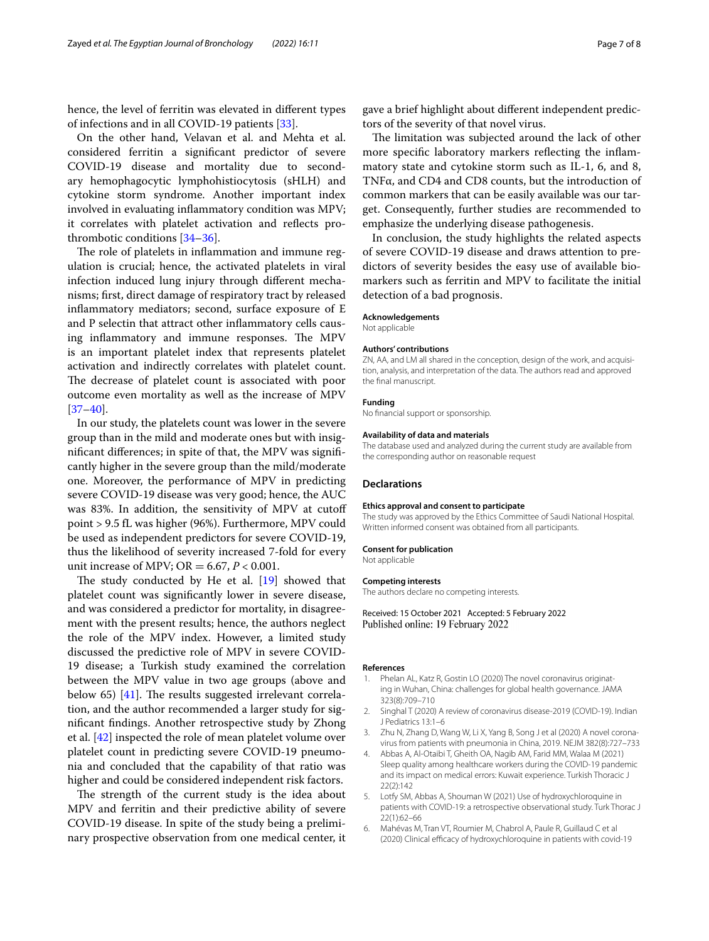hence, the level of ferritin was elevated in diferent types of infections and in all COVID-19 patients [\[33](#page-7-21)].

On the other hand, Velavan et al. and Mehta et al. considered ferritin a signifcant predictor of severe COVID-19 disease and mortality due to secondary hemophagocytic lymphohistiocytosis (sHLH) and cytokine storm syndrome. Another important index involved in evaluating infammatory condition was MPV; it correlates with platelet activation and refects prothrombotic conditions [\[34–](#page-7-22)[36\]](#page-7-23).

The role of platelets in inflammation and immune regulation is crucial; hence, the activated platelets in viral infection induced lung injury through diferent mechanisms; frst, direct damage of respiratory tract by released infammatory mediators; second, surface exposure of E and P selectin that attract other infammatory cells causing inflammatory and immune responses. The MPV is an important platelet index that represents platelet activation and indirectly correlates with platelet count. The decrease of platelet count is associated with poor outcome even mortality as well as the increase of MPV  $[37-40]$  $[37-40]$  $[37-40]$ .

In our study, the platelets count was lower in the severe group than in the mild and moderate ones but with insignifcant diferences; in spite of that, the MPV was signifcantly higher in the severe group than the mild/moderate one. Moreover, the performance of MPV in predicting severe COVID-19 disease was very good; hence, the AUC was 83%. In addition, the sensitivity of MPV at cutof point > 9.5 fL was higher (96%). Furthermore, MPV could be used as independent predictors for severe COVID-19, thus the likelihood of severity increased 7-fold for every unit increase of MPV; OR =  $6.67, P < 0.001$ .

The study conducted by He et al.  $[19]$  $[19]$  $[19]$  showed that platelet count was signifcantly lower in severe disease, and was considered a predictor for mortality, in disagreement with the present results; hence, the authors neglect the role of the MPV index. However, a limited study discussed the predictive role of MPV in severe COVID-19 disease; a Turkish study examined the correlation between the MPV value in two age groups (above and below 65) [\[41\]](#page-7-26). The results suggested irrelevant correlation, and the author recommended a larger study for signifcant fndings. Another retrospective study by Zhong et al. [[42](#page-7-27)] inspected the role of mean platelet volume over platelet count in predicting severe COVID-19 pneumonia and concluded that the capability of that ratio was higher and could be considered independent risk factors.

The strength of the current study is the idea about MPV and ferritin and their predictive ability of severe COVID-19 disease. In spite of the study being a preliminary prospective observation from one medical center, it

gave a brief highlight about diferent independent predictors of the severity of that novel virus.

The limitation was subjected around the lack of other more specifc laboratory markers refecting the infammatory state and cytokine storm such as IL-1, 6, and 8, TNFα, and CD4 and CD8 counts, but the introduction of common markers that can be easily available was our target. Consequently, further studies are recommended to emphasize the underlying disease pathogenesis.

In conclusion, the study highlights the related aspects of severe COVID-19 disease and draws attention to predictors of severity besides the easy use of available biomarkers such as ferritin and MPV to facilitate the initial detection of a bad prognosis.

#### **Acknowledgements**

Not applicable

#### **Authors' contributions**

ZN, AA, and LM all shared in the conception, design of the work, and acquisition, analysis, and interpretation of the data. The authors read and approved the fnal manuscript.

#### **Funding**

No fnancial support or sponsorship.

#### **Availability of data and materials**

The database used and analyzed during the current study are available from the corresponding author on reasonable request

#### **Declarations**

#### **Ethics approval and consent to participate**

The study was approved by the Ethics Committee of Saudi National Hospital. Written informed consent was obtained from all participants.

#### **Consent for publication** Not applicable

#### **Competing interests**

The authors declare no competing interests.

Received: 15 October 2021 Accepted: 5 February 2022 Published online: 19 February 2022

#### **References**

- <span id="page-6-0"></span>1. Phelan AL, Katz R, Gostin LO (2020) The novel coronavirus originating in Wuhan, China: challenges for global health governance. JAMA 323(8):709–710
- 2. Singhal T (2020) A review of coronavirus disease-2019 (COVID-19). Indian J Pediatrics 13:1–6
- 3. Zhu N, Zhang D, Wang W, Li X, Yang B, Song J et al (2020) A novel coronavirus from patients with pneumonia in China, 2019. NEJM 382(8):727–733
- <span id="page-6-1"></span>4. Abbas A, Al-Otaibi T, Gheith OA, Nagib AM, Farid MM, Walaa M (2021) Sleep quality among healthcare workers during the COVID-19 pandemic and its impact on medical errors: Kuwait experience. Turkish Thoracic J 22(2):142
- <span id="page-6-2"></span>Lotfy SM, Abbas A, Shouman W (2021) Use of hydroxychloroquine in patients with COVID-19: a retrospective observational study. Turk Thorac J 22(1):62–66
- <span id="page-6-3"></span>6. Mahévas M, Tran VT, Roumier M, Chabrol A, Paule R, Guillaud C et al (2020) Clinical efficacy of hydroxychloroquine in patients with covid-19